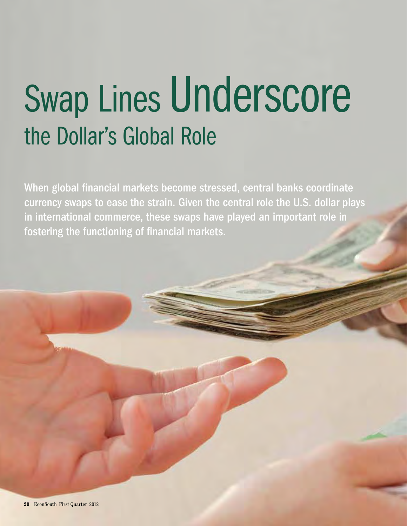# Swap Lines Underscore the Dollar's Global Role

When global financial markets become stressed, central banks coordinate currency swaps to ease the strain. Given the central role the U.S. dollar plays in international commerce, these swaps have played an important role in fostering the functioning of financial markets.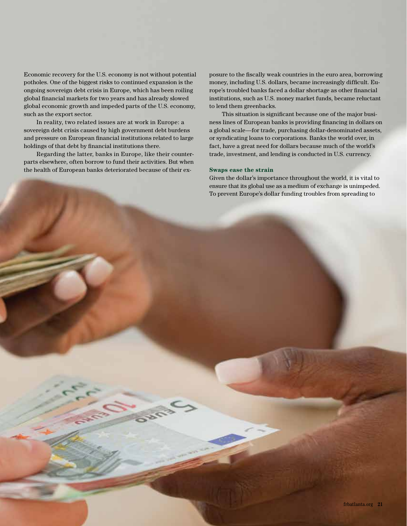Economic recovery for the U.S. economy is not without potential potholes. One of the biggest risks to continued expansion is the ongoing sovereign debt crisis in Europe, which has been roiling global financial markets for two years and has already slowed global economic growth and impeded parts of the U.S. economy, such as the export sector.

In reality, two related issues are at work in Europe: a sovereign debt crisis caused by high government debt burdens and pressure on European financial institutions related to large holdings of that debt by financial institutions there.

Regarding the latter, banks in Europe, like their counterparts elsewhere, often borrow to fund their activities. But when the health of European banks deteriorated because of their exposure to the fiscally weak countries in the euro area, borrowing money, including U.S. dollars, became increasingly difficult. Europe's troubled banks faced a dollar shortage as other financial institutions, such as U.S. money market funds, became reluctant to lend them greenbacks.

This situation is significant because one of the major business lines of European banks is providing financing in dollars on a global scale—for trade, purchasing dollar-denominated assets, or syndicating loans to corporations. Banks the world over, in fact, have a great need for dollars because much of the world's trade, investment, and lending is conducted in U.S. currency.

#### **Swaps ease the strain**

Given the dollar's importance throughout the world, it is vital to ensure that its global use as a medium of exchange is unimpeded. To prevent Europe's dollar funding troubles from spreading to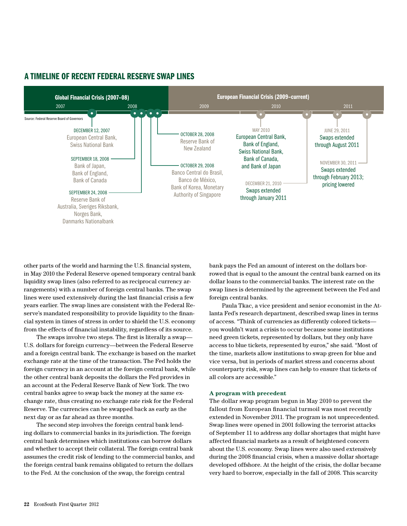

# A TIMELINE OF RECENT FEDERAL RESERVE SWAP LINES

other parts of the world and harming the U.S. financial system, in May 2010 the Federal Reserve opened temporary central bank liquidity swap lines (also referred to as reciprocal currency arrangements) with a number of foreign central banks. The swap lines were used extensively during the last financial crisis a few years earlier. The swap lines are consistent with the Federal Reserve's mandated responsibility to provide liquidity to the financial system in times of stress in order to shield the U.S. economy from the effects of financial instability, regardless of its source.

The swaps involve two steps. The first is literally a swap— U.S. dollars for foreign currency—between the Federal Reserve and a foreign central bank. The exchange is based on the market exchange rate at the time of the transaction. The Fed holds the foreign currency in an account at the foreign central bank, while the other central bank deposits the dollars the Fed provides in an account at the Federal Reserve Bank of New York. The two central banks agree to swap back the money at the same exchange rate, thus creating no exchange rate risk for the Federal Reserve. The currencies can be swapped back as early as the next day or as far ahead as three months.

The second step involves the foreign central bank lending dollars to commercial banks in its jurisdiction. The foreign central bank determines which institutions can borrow dollars and whether to accept their collateral. The foreign central bank assumes the credit risk of lending to the commercial banks, and the foreign central bank remains obligated to return the dollars to the Fed. At the conclusion of the swap, the foreign central

bank pays the Fed an amount of interest on the dollars borrowed that is equal to the amount the central bank earned on its dollar loans to the commercial banks. The interest rate on the swap lines is determined by the agreement between the Fed and foreign central banks.

Paula Tkac, a vice president and senior economist in the Atlanta Fed's research department, described swap lines in terms of access. "Think of currencies as differently colored tickets you wouldn't want a crisis to occur because some institutions need green tickets, represented by dollars, but they only have access to blue tickets, represented by euros," she said. "Most of the time, markets allow institutions to swap green for blue and vice versa, but in periods of market stress and concerns about counterparty risk, swap lines can help to ensure that tickets of all colors are accessible."

#### **A program with precedent**

The dollar swap program begun in May 2010 to prevent the fallout from European financial turmoil was most recently extended in November 2011. The program is not unprecedented. Swap lines were opened in 2001 following the terrorist attacks of September 11 to address any dollar shortages that might have affected financial markets as a result of heightened concern about the U.S. economy. Swap lines were also used extensively during the 2008 financial crisis, when a massive dollar shortage developed offshore. At the height of the crisis, the dollar became very hard to borrow, especially in the fall of 2008. This scarcity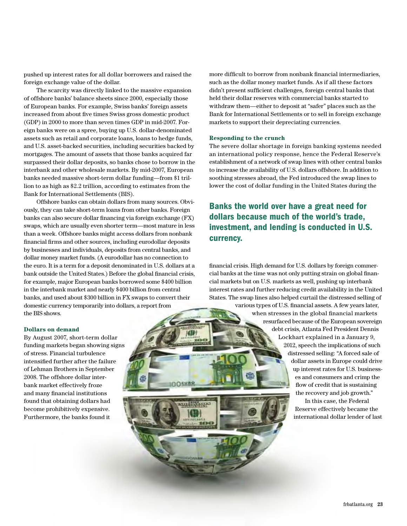pushed up interest rates for all dollar borrowers and raised the foreign exchange value of the dollar.

The scarcity was directly linked to the massive expansion of offshore banks' balance sheets since 2000, especially those of European banks. For example, Swiss banks' foreign assets increased from about five times Swiss gross domestic product (GDP) in 2000 to more than seven times GDP in mid-2007. Foreign banks were on a spree, buying up U.S. dollar-denominated assets such as retail and corporate loans, loans to hedge funds, and U.S. asset-backed securities, including securities backed by mortgages. The amount of assets that those banks acquired far surpassed their dollar deposits, so banks chose to borrow in the interbank and other wholesale markets. By mid-2007, European banks needed massive short-term dollar funding—from \$1 trillion to as high as \$2.2 trillion, according to estimates from the Bank for International Settlements (BIS).

Offshore banks can obtain dollars from many sources. Obviously, they can take short-term loans from other banks. Foreign banks can also secure dollar financing via foreign exchange (FX) swaps, which are usually even shorter term—most mature in less than a week. Offshore banks might access dollars from nonbank financial firms and other sources, including eurodollar deposits by businesses and individuals, deposits from central banks, and dollar money market funds. (A eurodollar has no connection to the euro. It is a term for a deposit denominated in U.S. dollars at a bank outside the United States.) Before the global financial crisis, for example, major European banks borrowed some \$400 billion in the interbank market and nearly \$400 billion from central banks, and used about \$300 billion in FX swaps to convert their domestic currency temporarily into dollars, a report from the BIS shows.

OEURO

## **Dollars on demand**

By August 2007, short-term dollar funding markets began showing signs of stress. Financial turbulence intensified further after the failure of Lehman Brothers in September 2008. The offshore dollar interbank market effectively froze and many financial institutions found that obtaining dollars had become prohibitively expensive. Furthermore, the banks found it

more difficult to borrow from nonbank financial intermediaries, such as the dollar money market funds. As if all these factors didn't present sufficient challenges, foreign central banks that held their dollar reserves with commercial banks started to withdraw them—either to deposit at "safer" places such as the Bank for International Settlements or to sell in foreign exchange markets to support their depreciating currencies.

### **Responding to the crunch**

The severe dollar shortage in foreign banking systems needed an international policy response, hence the Federal Reserve's establishment of a network of swap lines with other central banks to increase the availability of U.S. dollars offshore. In addition to soothing stresses abroad, the Fed introduced the swap lines to lower the cost of dollar funding in the United States during the

Banks the world over have a great need for dollars because much of the world's trade, investment, and lending is conducted in U.S. currency.

financial crisis. High demand for U.S. dollars by foreign commercial banks at the time was not only putting strain on global financial markets but on U.S. markets as well, pushing up interbank interest rates and further reducing credit availability in the United States. The swap lines also helped curtail the distressed selling of

> various types of U.S. financial assets. A few years later, when stresses in the global financial markets resurfaced because of the European sovereign debt crisis, Atlanta Fed President Dennis Lockhart explained in a January 9, 2012, speech the implications of such distressed selling: "A forced sale of dollar assets in Europe could drive up interest rates for U.S. businesses and consumers and crimp the flow of credit that is sustaining the recovery and job growth."

In this case, the Federal Reserve effectively became the international dollar lender of last